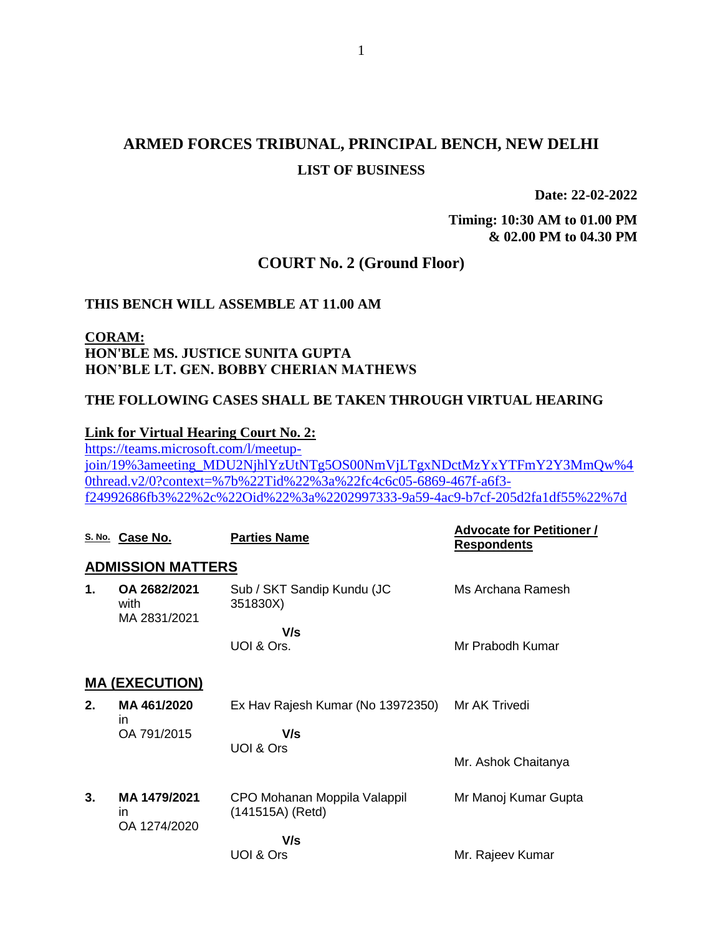# **ARMED FORCES TRIBUNAL, PRINCIPAL BENCH, NEW DELHI LIST OF BUSINESS**

**Date: 22-02-2022**

**Timing: 10:30 AM to 01.00 PM & 02.00 PM to 04.30 PM**

### **COURT No. 2 (Ground Floor)**

#### **THIS BENCH WILL ASSEMBLE AT 11.00 AM**

## **CORAM: HON'BLE MS. JUSTICE SUNITA GUPTA HON'BLE LT. GEN. BOBBY CHERIAN MATHEWS**

#### **THE FOLLOWING CASES SHALL BE TAKEN THROUGH VIRTUAL HEARING**

### **Link for Virtual Hearing Court No. 2:**

[https://teams.microsoft.com/l/meetup](https://teams.microsoft.com/l/meetup-join/19%3ameeting_MDU2NjhlYzUtNTg5OS00NmVjLTgxNDctMzYxYTFmY2Y3MmQw%40thread.v2/0?context=%7b%22Tid%22%3a%22fc4c6c05-6869-467f-a6f3-f24992686fb3%22%2c%22Oid%22%3a%2202997333-9a59-4ac9-b7cf-205d2fa1df55%22%7d)[join/19%3ameeting\\_MDU2NjhlYzUtNTg5OS00NmVjLTgxNDctMzYxYTFmY2Y3MmQw%4](https://teams.microsoft.com/l/meetup-join/19%3ameeting_MDU2NjhlYzUtNTg5OS00NmVjLTgxNDctMzYxYTFmY2Y3MmQw%40thread.v2/0?context=%7b%22Tid%22%3a%22fc4c6c05-6869-467f-a6f3-f24992686fb3%22%2c%22Oid%22%3a%2202997333-9a59-4ac9-b7cf-205d2fa1df55%22%7d) [0thread.v2/0?context=%7b%22Tid%22%3a%22fc4c6c05-6869-467f-a6f3](https://teams.microsoft.com/l/meetup-join/19%3ameeting_MDU2NjhlYzUtNTg5OS00NmVjLTgxNDctMzYxYTFmY2Y3MmQw%40thread.v2/0?context=%7b%22Tid%22%3a%22fc4c6c05-6869-467f-a6f3-f24992686fb3%22%2c%22Oid%22%3a%2202997333-9a59-4ac9-b7cf-205d2fa1df55%22%7d) [f24992686fb3%22%2c%22Oid%22%3a%2202997333-9a59-4ac9-b7cf-205d2fa1df55%22%7d](https://teams.microsoft.com/l/meetup-join/19%3ameeting_MDU2NjhlYzUtNTg5OS00NmVjLTgxNDctMzYxYTFmY2Y3MmQw%40thread.v2/0?context=%7b%22Tid%22%3a%22fc4c6c05-6869-467f-a6f3-f24992686fb3%22%2c%22Oid%22%3a%2202997333-9a59-4ac9-b7cf-205d2fa1df55%22%7d)

|                       | S. No. Case No.                      | <b>Parties Name</b>                              | <b>Advocate for Petitioner /</b><br><b>Respondents</b> |  |  |
|-----------------------|--------------------------------------|--------------------------------------------------|--------------------------------------------------------|--|--|
|                       | <b>ADMISSION MATTERS</b>             |                                                  |                                                        |  |  |
| 1.                    | OA 2682/2021<br>with<br>MA 2831/2021 | Sub / SKT Sandip Kundu (JC<br>351830X)           | Ms Archana Ramesh                                      |  |  |
|                       |                                      | V/s<br>UOI & Ors.                                | Mr Prabodh Kumar                                       |  |  |
| <b>MA (EXECUTION)</b> |                                      |                                                  |                                                        |  |  |
| 2.                    | MA 461/2020<br>in                    | Ex Hav Rajesh Kumar (No 13972350)                | Mr AK Trivedi                                          |  |  |
|                       | OA 791/2015                          | V/s<br>UOI & Ors                                 |                                                        |  |  |
|                       |                                      |                                                  | Mr. Ashok Chaitanya                                    |  |  |
| 3.                    | MA 1479/2021<br>in<br>OA 1274/2020   | CPO Mohanan Moppila Valappil<br>(141515A) (Retd) | Mr Manoj Kumar Gupta                                   |  |  |
|                       |                                      | V/s                                              |                                                        |  |  |
|                       |                                      | UOI & Ors                                        | Mr. Rajeev Kumar                                       |  |  |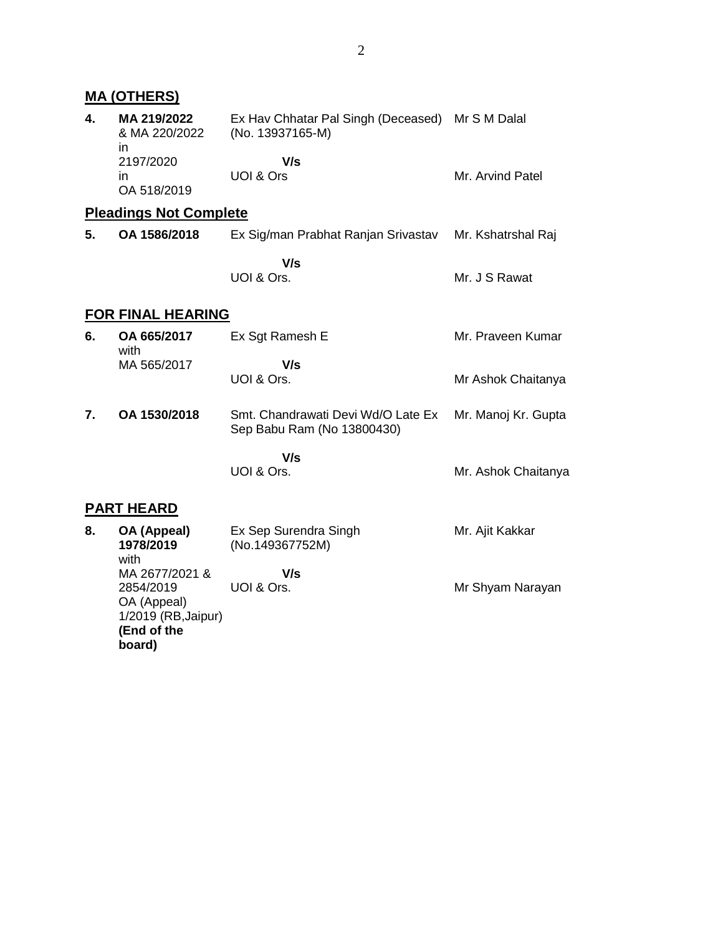|    | <b>MA (OTHERS)</b>                                                               |                                                                      |                     |
|----|----------------------------------------------------------------------------------|----------------------------------------------------------------------|---------------------|
| 4. | MA 219/2022<br>& MA 220/2022<br>in.                                              | Ex Hav Chhatar Pal Singh (Deceased) Mr S M Dalal<br>(No. 13937165-M) |                     |
|    | 2197/2020<br>in.<br>OA 518/2019                                                  | V/s<br>UOI & Ors                                                     | Mr. Arvind Patel    |
|    | <b>Pleadings Not Complete</b>                                                    |                                                                      |                     |
| 5. | OA 1586/2018                                                                     | Ex Sig/man Prabhat Ranjan Srivastav                                  | Mr. Kshatrshal Raj  |
|    |                                                                                  | V/s<br>UOI & Ors.                                                    | Mr. J S Rawat       |
|    | <b>FOR FINAL HEARING</b>                                                         |                                                                      |                     |
| 6. | OA 665/2017<br>with                                                              | Ex Sgt Ramesh E                                                      | Mr. Praveen Kumar   |
|    | MA 565/2017                                                                      | V/s<br>UOI & Ors.                                                    | Mr Ashok Chaitanya  |
| 7. | OA 1530/2018                                                                     | Smt. Chandrawati Devi Wd/O Late Ex<br>Sep Babu Ram (No 13800430)     | Mr. Manoj Kr. Gupta |
|    |                                                                                  | V/s                                                                  |                     |
|    |                                                                                  | UOI & Ors.                                                           | Mr. Ashok Chaitanya |
|    | <b>PART HEARD</b>                                                                |                                                                      |                     |
| 8. | OA (Appeal)<br>1978/2019<br>with                                                 | Ex Sep Surendra Singh<br>(No.149367752M)                             | Mr. Ajit Kakkar     |
|    | MA 2677/2021 &<br>2854/2019<br>OA (Appeal)<br>1/2019 (RB, Jaipur)<br>(End of the | V/s<br>UOI & Ors.                                                    | Mr Shyam Narayan    |

**board)**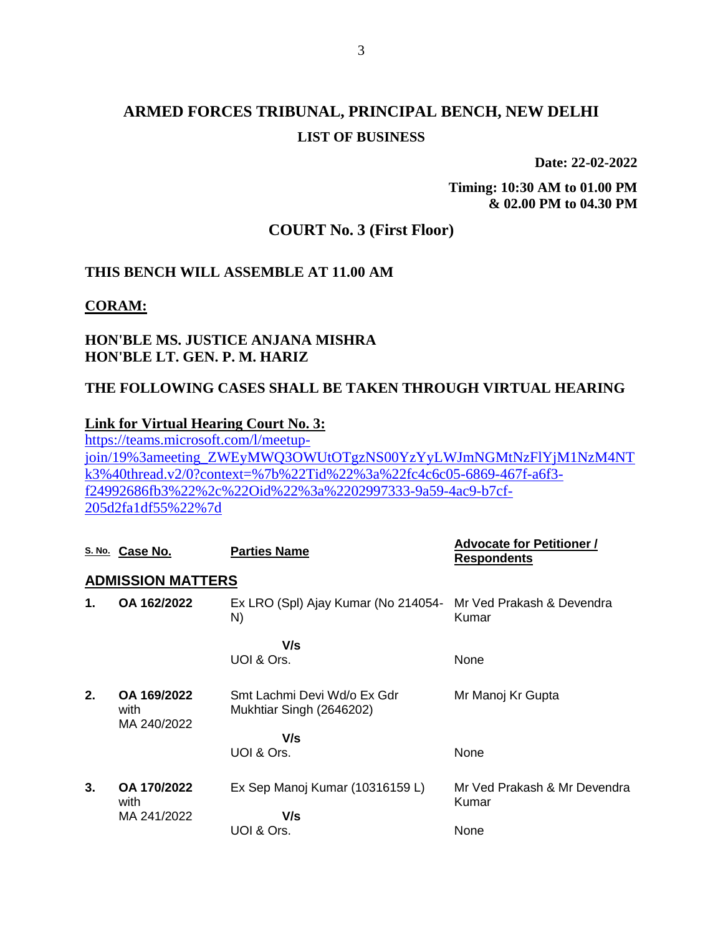# **ARMED FORCES TRIBUNAL, PRINCIPAL BENCH, NEW DELHI LIST OF BUSINESS**

**Date: 22-02-2022**

**Timing: 10:30 AM to 01.00 PM & 02.00 PM to 04.30 PM**

# **COURT No. 3 (First Floor)**

## **THIS BENCH WILL ASSEMBLE AT 11.00 AM**

**CORAM:**

## **HON'BLE MS. JUSTICE ANJANA MISHRA HON'BLE LT. GEN. P. M. HARIZ**

## **THE FOLLOWING CASES SHALL BE TAKEN THROUGH VIRTUAL HEARING**

### **Link for Virtual Hearing Court No. 3:**

[https://teams.microsoft.com/l/meetup](https://teams.microsoft.com/l/meetup-join/19%3ameeting_ZWEyMWQ3OWUtOTgzNS00YzYyLWJmNGMtNzFlYjM1NzM4NTk3%40thread.v2/0?context=%7b%22Tid%22%3a%22fc4c6c05-6869-467f-a6f3-f24992686fb3%22%2c%22Oid%22%3a%2202997333-9a59-4ac9-b7cf-205d2fa1df55%22%7d)[join/19%3ameeting\\_ZWEyMWQ3OWUtOTgzNS00YzYyLWJmNGMtNzFlYjM1NzM4NT](https://teams.microsoft.com/l/meetup-join/19%3ameeting_ZWEyMWQ3OWUtOTgzNS00YzYyLWJmNGMtNzFlYjM1NzM4NTk3%40thread.v2/0?context=%7b%22Tid%22%3a%22fc4c6c05-6869-467f-a6f3-f24992686fb3%22%2c%22Oid%22%3a%2202997333-9a59-4ac9-b7cf-205d2fa1df55%22%7d) [k3%40thread.v2/0?context=%7b%22Tid%22%3a%22fc4c6c05-6869-467f-a6f3](https://teams.microsoft.com/l/meetup-join/19%3ameeting_ZWEyMWQ3OWUtOTgzNS00YzYyLWJmNGMtNzFlYjM1NzM4NTk3%40thread.v2/0?context=%7b%22Tid%22%3a%22fc4c6c05-6869-467f-a6f3-f24992686fb3%22%2c%22Oid%22%3a%2202997333-9a59-4ac9-b7cf-205d2fa1df55%22%7d) [f24992686fb3%22%2c%22Oid%22%3a%2202997333-9a59-4ac9-b7cf-](https://teams.microsoft.com/l/meetup-join/19%3ameeting_ZWEyMWQ3OWUtOTgzNS00YzYyLWJmNGMtNzFlYjM1NzM4NTk3%40thread.v2/0?context=%7b%22Tid%22%3a%22fc4c6c05-6869-467f-a6f3-f24992686fb3%22%2c%22Oid%22%3a%2202997333-9a59-4ac9-b7cf-205d2fa1df55%22%7d)[205d2fa1df55%22%7d](https://teams.microsoft.com/l/meetup-join/19%3ameeting_ZWEyMWQ3OWUtOTgzNS00YzYyLWJmNGMtNzFlYjM1NzM4NTk3%40thread.v2/0?context=%7b%22Tid%22%3a%22fc4c6c05-6869-467f-a6f3-f24992686fb3%22%2c%22Oid%22%3a%2202997333-9a59-4ac9-b7cf-205d2fa1df55%22%7d)

|    | S. No. Case No.                    | <b>Parties Name</b>                                                 | <b>Advocate for Petitioner /</b><br><b>Respondents</b> |  |  |  |  |  |
|----|------------------------------------|---------------------------------------------------------------------|--------------------------------------------------------|--|--|--|--|--|
|    | <b>ADMISSION MATTERS</b>           |                                                                     |                                                        |  |  |  |  |  |
| 1. | OA 162/2022                        | Ex LRO (Spl) Ajay Kumar (No 214054- Mr Ved Prakash & Devendra<br>N) | Kumar                                                  |  |  |  |  |  |
|    |                                    | V/s                                                                 |                                                        |  |  |  |  |  |
|    |                                    | UOI & Ors.                                                          | None                                                   |  |  |  |  |  |
| 2. | OA 169/2022<br>with<br>MA 240/2022 | Smt Lachmi Devi Wd/o Ex Gdr<br>Mukhtiar Singh (2646202)             | Mr Manoj Kr Gupta                                      |  |  |  |  |  |
|    |                                    | V/s                                                                 |                                                        |  |  |  |  |  |
|    |                                    | UOI & Ors.                                                          | None                                                   |  |  |  |  |  |
| 3. | OA 170/2022<br>with<br>MA 241/2022 | Ex Sep Manoj Kumar (10316159 L)                                     | Mr Ved Prakash & Mr Devendra<br>Kumar                  |  |  |  |  |  |
|    |                                    | V/s                                                                 |                                                        |  |  |  |  |  |
|    |                                    | UOI & Ors.                                                          | None                                                   |  |  |  |  |  |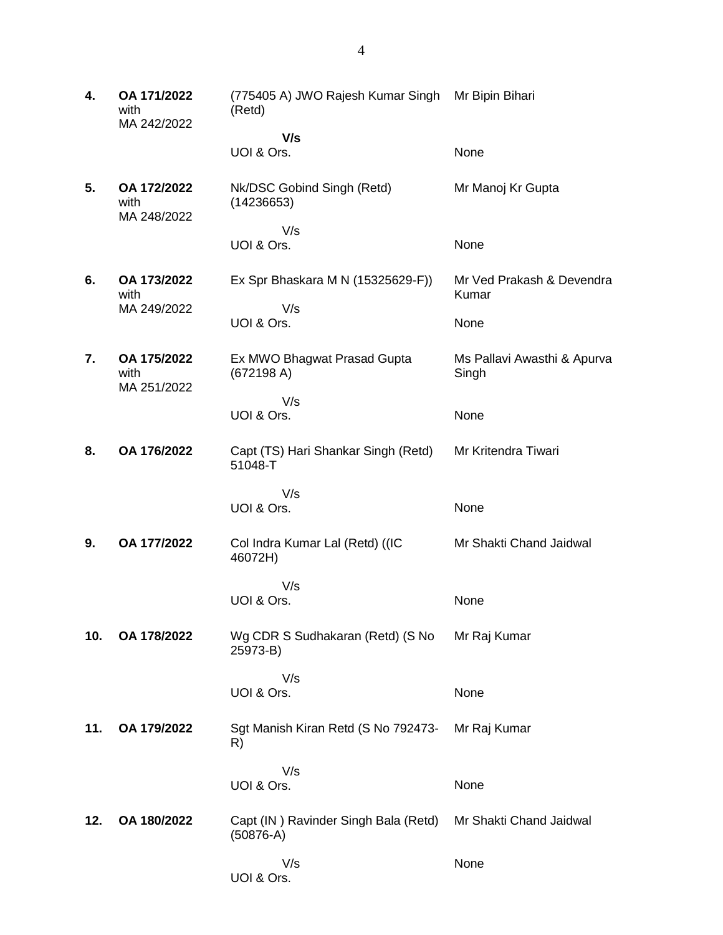**4. OA 171/2022** with MA 242/2022 (775405 A) JWO Rajesh Kumar Singh Mr Bipin Bihari (Retd)  **V/s** UOI & Ors. None **5. OA 172/2022** with MA 248/2022 Nk/DSC Gobind Singh (Retd) (14236653) V/s UOI & Ors. Mr Manoj Kr Gupta None **6. OA 173/2022** with MA 249/2022 Ex Spr Bhaskara M N (15325629-F)) V/s UOI & Ors. Mr Ved Prakash & Devendra Kumar None **7. OA 175/2022** with MA 251/2022 Ex MWO Bhagwat Prasad Gupta (672198 A) V/s UOI & Ors. Ms Pallavi Awasthi & Apurva Singh None **8. OA 176/2022** Capt (TS) Hari Shankar Singh (Retd) 51048-T V/s UOI & Ors. Mr Kritendra Tiwari None **9. OA 177/2022** Col Indra Kumar Lal (Retd) ((IC 46072H) V/s UOI & Ors. Mr Shakti Chand Jaidwal None **10. OA 178/2022** Wg CDR S Sudhakaran (Retd) (S No 25973-B) V/s UOI & Ors. Mr Raj Kumar **None 11. OA 179/2022** Sgt Manish Kiran Retd (S No 792473- R) V/s UOI & Ors. Mr Raj Kumar None **12. OA 180/2022** Capt (IN ) Ravinder Singh Bala (Retd) (50876-A) V/s UOI & Ors. Mr Shakti Chand Jaidwal None